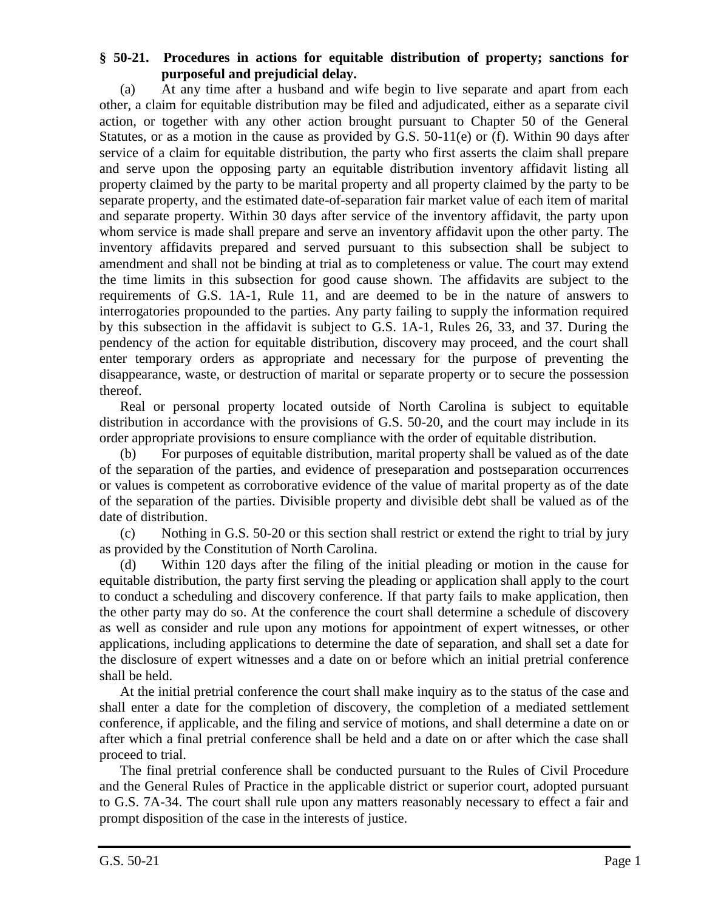## **§ 50-21. Procedures in actions for equitable distribution of property; sanctions for purposeful and prejudicial delay.**

(a) At any time after a husband and wife begin to live separate and apart from each other, a claim for equitable distribution may be filed and adjudicated, either as a separate civil action, or together with any other action brought pursuant to Chapter 50 of the General Statutes, or as a motion in the cause as provided by G.S.  $50-11(e)$  or (f). Within 90 days after service of a claim for equitable distribution, the party who first asserts the claim shall prepare and serve upon the opposing party an equitable distribution inventory affidavit listing all property claimed by the party to be marital property and all property claimed by the party to be separate property, and the estimated date-of-separation fair market value of each item of marital and separate property. Within 30 days after service of the inventory affidavit, the party upon whom service is made shall prepare and serve an inventory affidavit upon the other party. The inventory affidavits prepared and served pursuant to this subsection shall be subject to amendment and shall not be binding at trial as to completeness or value. The court may extend the time limits in this subsection for good cause shown. The affidavits are subject to the requirements of G.S. 1A-1, Rule 11, and are deemed to be in the nature of answers to interrogatories propounded to the parties. Any party failing to supply the information required by this subsection in the affidavit is subject to G.S. 1A-1, Rules 26, 33, and 37. During the pendency of the action for equitable distribution, discovery may proceed, and the court shall enter temporary orders as appropriate and necessary for the purpose of preventing the disappearance, waste, or destruction of marital or separate property or to secure the possession thereof.

Real or personal property located outside of North Carolina is subject to equitable distribution in accordance with the provisions of G.S. 50-20, and the court may include in its order appropriate provisions to ensure compliance with the order of equitable distribution.

(b) For purposes of equitable distribution, marital property shall be valued as of the date of the separation of the parties, and evidence of preseparation and postseparation occurrences or values is competent as corroborative evidence of the value of marital property as of the date of the separation of the parties. Divisible property and divisible debt shall be valued as of the date of distribution.

(c) Nothing in G.S. 50-20 or this section shall restrict or extend the right to trial by jury as provided by the Constitution of North Carolina.

(d) Within 120 days after the filing of the initial pleading or motion in the cause for equitable distribution, the party first serving the pleading or application shall apply to the court to conduct a scheduling and discovery conference. If that party fails to make application, then the other party may do so. At the conference the court shall determine a schedule of discovery as well as consider and rule upon any motions for appointment of expert witnesses, or other applications, including applications to determine the date of separation, and shall set a date for the disclosure of expert witnesses and a date on or before which an initial pretrial conference shall be held.

At the initial pretrial conference the court shall make inquiry as to the status of the case and shall enter a date for the completion of discovery, the completion of a mediated settlement conference, if applicable, and the filing and service of motions, and shall determine a date on or after which a final pretrial conference shall be held and a date on or after which the case shall proceed to trial.

The final pretrial conference shall be conducted pursuant to the Rules of Civil Procedure and the General Rules of Practice in the applicable district or superior court, adopted pursuant to G.S. 7A-34. The court shall rule upon any matters reasonably necessary to effect a fair and prompt disposition of the case in the interests of justice.